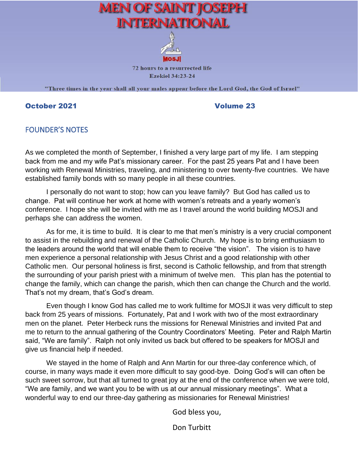



72 hours to a resurrected life **Ezekiel 34:23-24** 

"Three times in the year shall all your males appear before the Lord God, the God of Israel"

### October 2021 **Volume 23**

### FOUNDER'S NOTES

As we completed the month of September, I finished a very large part of my life. I am stepping back from me and my wife Pat's missionary career. For the past 25 years Pat and I have been working with Renewal Ministries, traveling, and ministering to over twenty-five countries. We have established family bonds with so many people in all these countries.

I personally do not want to stop; how can you leave family? But God has called us to change. Pat will continue her work at home with women's retreats and a yearly women's conference. I hope she will be invited with me as I travel around the world building MOSJI and perhaps she can address the women.

As for me, it is time to build. It is clear to me that men's ministry is a very crucial component to assist in the rebuilding and renewal of the Catholic Church. My hope is to bring enthusiasm to the leaders around the world that will enable them to receive "the vision". The vision is to have men experience a personal relationship with Jesus Christ and a good relationship with other Catholic men. Our personal holiness is first, second is Catholic fellowship, and from that strength the surrounding of your parish priest with a minimum of twelve men. This plan has the potential to change the family, which can change the parish, which then can change the Church and the world. That's not my dream, that's God's dream.

Even though I know God has called me to work fulltime for MOSJI it was very difficult to step back from 25 years of missions. Fortunately, Pat and I work with two of the most extraordinary men on the planet. Peter Herbeck runs the missions for Renewal Ministries and invited Pat and me to return to the annual gathering of the Country Coordinators' Meeting. Peter and Ralph Martin said, "We are family". Ralph not only invited us back but offered to be speakers for MOSJI and give us financial help if needed.

We stayed in the home of Ralph and Ann Martin for our three-day conference which, of course, in many ways made it even more difficult to say good-bye. Doing God's will can often be such sweet sorrow, but that all turned to great joy at the end of the conference when we were told, "We are family, and we want you to be with us at our annual missionary meetings". What a wonderful way to end our three-day gathering as missionaries for Renewal Ministries!

God bless you,

Don Turbitt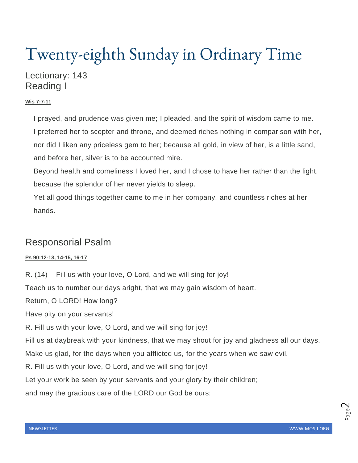# Twenty-eighth Sunday in Ordinary Time

### Lectionary: 143 Reading I

### **Wis [7:7-11](https://bible.usccb.org/bible/wisdom/7?7)**

 I prayed, and prudence was given me; I pleaded, and the spirit of wisdom came to me. I preferred her to scepter and throne, and deemed riches nothing in comparison with her, nor did I liken any priceless gem to her; because all gold, in view of her, is a little sand, and before her, silver is to be accounted mire.

 Beyond health and comeliness I loved her, and I chose to have her rather than the light, because the splendor of her never yields to sleep.

 Yet all good things together came to me in her company, and countless riches at her hands.

### Responsorial Psalm

### **Ps [90:12-13,](https://bible.usccb.org/bible/psalms/90?12) 14-15, 16-17**

R. (14) Fill us with your love, O Lord, and we will sing for joy! Teach us to number our days aright, that we may gain wisdom of heart.

Return, O LORD! How long?

Have pity on your servants!

R. Fill us with your love, O Lord, and we will sing for joy!

Fill us at daybreak with your kindness, that we may shout for joy and gladness all our days.

Make us glad, for the days when you afflicted us, for the years when we saw evil.

R. Fill us with your love, O Lord, and we will sing for joy!

Let your work be seen by your servants and your glory by their children;

and may the gracious care of the LORD our God be ours;

Page  $\mathrel{\sim}$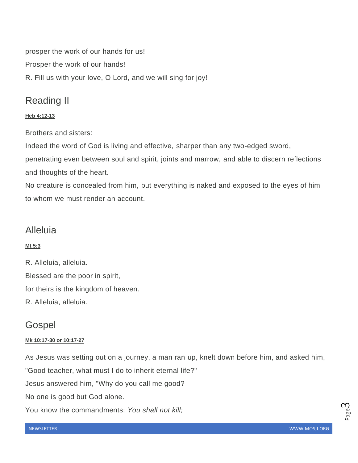prosper the work of our hands for us! Prosper the work of our hands! R. Fill us with your love, O Lord, and we will sing for joy!

### Reading II

### **Heb [4:12-13](https://bible.usccb.org/bible/hebrews/4?12)**

Brothers and sisters:

Indeed the word of God is living and effective, sharper than any two-edged sword, penetrating even between soul and spirit, joints and marrow, and able to discern reflections and thoughts of the heart.

No creature is concealed from him, but everything is naked and exposed to the eyes of him to whom we must render an account.

### Alleluia

### **Mt [5:3](https://bible.usccb.org/bible/matthew/5?3)**

R. Alleluia, alleluia. Blessed are the poor in spirit, for theirs is the kingdom of heaven. R. Alleluia, alleluia.

### Gospel

### **Mk [10:17-30](https://bible.usccb.org/bible/mark/10?17) or 10:17-27**

As Jesus was setting out on a journey, a man ran up, knelt down before him, and asked him,

"Good teacher, what must I do to inherit eternal life?"

Jesus answered him, "Why do you call me good?

No one is good but God alone.

You know the commandments: *You shall not kill;*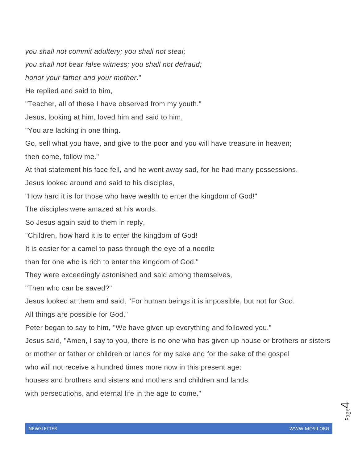*you shall not commit adultery; you shall not steal; you shall not bear false witness; you shall not defraud; honor your father and your mother*." He replied and said to him, "Teacher, all of these I have observed from my youth." Jesus, looking at him, loved him and said to him, "You are lacking in one thing. Go, sell what you have, and give to the poor and you will have treasure in heaven; then come, follow me." At that statement his face fell, and he went away sad, for he had many possessions. Jesus looked around and said to his disciples, "How hard it is for those who have wealth to enter the kingdom of God!" The disciples were amazed at his words. So Jesus again said to them in reply, "Children, how hard it is to enter the kingdom of God! It is easier for a camel to pass through the eye of a needle than for one who is rich to enter the kingdom of God." They were exceedingly astonished and said among themselves, "Then who can be saved?" Jesus looked at them and said, "For human beings it is impossible, but not for God. All things are possible for God." Peter began to say to him, "We have given up everything and followed you." Jesus said, "Amen, I say to you, there is no one who has given up house or brothers or sisters or mother or father or children or lands for my sake and for the sake of the gospel who will not receive a hundred times more now in this present age: houses and brothers and sisters and mothers and children and lands, with persecutions, and eternal life in the age to come."

Page 4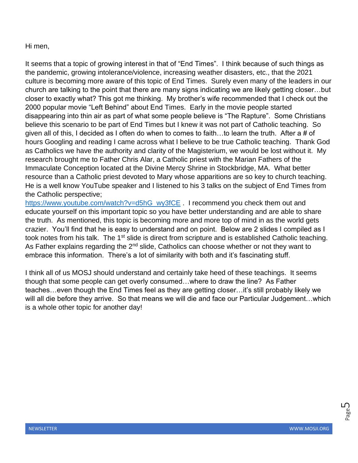### Hi men,

It seems that a topic of growing interest in that of "End Times". I think because of such things as the pandemic, growing intolerance/violence, increasing weather disasters, etc., that the 2021 culture is becoming more aware of this topic of End Times. Surely even many of the leaders in our church are talking to the point that there are many signs indicating we are likely getting closer…but closer to exactly what? This got me thinking. My brother's wife recommended that I check out the 2000 popular movie "Left Behind" about End Times. Early in the movie people started disappearing into thin air as part of what some people believe is "The Rapture". Some Christians believe this scenario to be part of End Times but I knew it was not part of Catholic teaching. So given all of this, I decided as I often do when to comes to faith...to learn the truth. After a # of hours Googling and reading I came across what I believe to be true Catholic teaching. Thank God as Catholics we have the authority and clarity of the Magisterium, we would be lost without it. My research brought me to Father Chris Alar, a Catholic priest with the Marian Fathers of the Immaculate Conception located at the Divine Mercy Shrine in Stockbridge, MA. What better resource than a Catholic priest devoted to Mary whose apparitions are so key to church teaching. He is a well know YouTube speaker and I listened to his 3 talks on the subject of End Times from the Catholic perspective;

[https://www.youtube.com/watch?v=d5hG\\_wy3fCE](https://www.youtube.com/watch?v=d5hG_wy3fCE) . I recommend you check them out and educate yourself on this important topic so you have better understanding and are able to share the truth. As mentioned, this topic is becoming more and more top of mind in as the world gets crazier. You'll find that he is easy to understand and on point. Below are 2 slides I compiled as I took notes from his talk. The 1<sup>st</sup> slide is direct from scripture and is established Catholic teaching. As Father explains regarding the 2<sup>nd</sup> slide, Catholics can choose whether or not they want to embrace this information. There's a lot of similarity with both and it's fascinating stuff.

I think all of us MOSJ should understand and certainly take heed of these teachings. It seems though that some people can get overly consumed…where to draw the line? As Father teaches…even though the End Times feel as they are getting closer…it's still probably likely we will all die before they arrive. So that means we will die and face our Particular Judgement…which is a whole other topic for another day!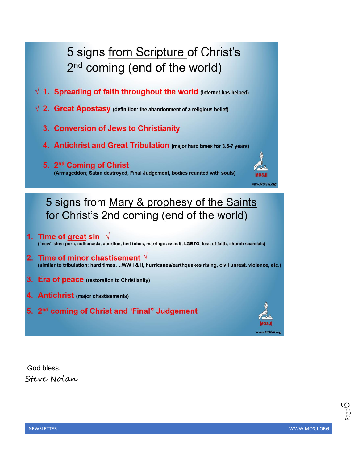## 5 signs from Scripture of Christ's 2<sup>nd</sup> coming (end of the world)

- $\sqrt{1}$ . Spreading of faith throughout the world (internet has helped)
- $\sqrt{2}$ . Great Apostasy (definition: the abandonment of a religious belief).
	- 3. Conversion of Jews to Christianity
	- 4. Antichrist and Great Tribulation (major hard times for 3.5-7 years)
	- 5. 2<sup>nd</sup> Coming of Christ (Armageddon; Satan destroyed, Final Judgement, bodies reunited with souls)

### 5 signs from Mary & prophesy of the Saints for Christ's 2nd coming (end of the world)

- 1. Time of great sin  $\hspace{0.1em}\hspace{0.1em}\sqrt{2}$ ("new" sins: porn, euthanasia, abortion, test tubes, marriage assault, LGBTQ, loss of faith, church scandals)
- 2. Time of minor chastisement  $\sqrt{ }$ (similar to tribulation; hard times....WW I & II, hurricanes/earthquakes rising, civil unrest, violence, etc.)
- 3. Era of peace (restoration to Christianity)
- 4. Antichrist (major chastisements)
- 5. 2<sup>nd</sup> coming of Christ and 'Final" Judgement



www.MOSJI.org

God bless, Steve Nolan

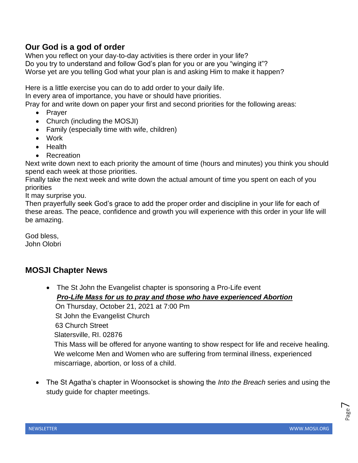### **Our God is a god of order**

When you reflect on your day-to-day activities is there order in your life? Do you try to understand and follow God's plan for you or are you "winging it"? Worse yet are you telling God what your plan is and asking Him to make it happen?

Here is a little exercise you can do to add order to your daily life.

In every area of importance, you have or should have priorities.

Pray for and write down on paper your first and second priorities for the following areas:

- Prayer
- Church (including the MOSJI)
- Family (especially time with wife, children)
- Work
- Health
- Recreation

Next write down next to each priority the amount of time (hours and minutes) you think you should spend each week at those priorities.

Finally take the next week and write down the actual amount of time you spent on each of you priorities

It may surprise you.

Then prayerfully seek God's grace to add the proper order and discipline in your life for each of these areas. The peace, confidence and growth you will experience with this order in your life will be amazing.

God bless, John Olobri

### **MOSJI Chapter News**

• The St John the Evangelist chapter is sponsoring a Pro-Life event *Pro-Life Mass for us to pray and those who have experienced Abortion*

 On Thursday, October 21, 2021 at 7:00 Pm St John the Evangelist Church 63 Church Street Slatersville, RI. 02876 This Mass will be offered for anyone wanting to show respect for life and receive healing. We welcome Men and Women who are suffering from terminal illness, experienced miscarriage, abortion, or loss of a child.

• The St Agatha's chapter in Woonsocket is showing the *Into the Breach* series and using the study guide for chapter meetings.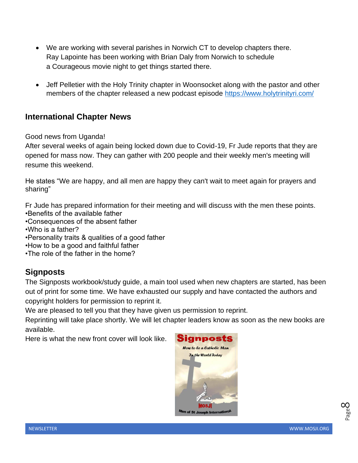- We are working with several parishes in Norwich CT to develop chapters there. Ray Lapointe has been working with Brian Daly from Norwich to schedule a Courageous movie night to get things started there.
- Jeff Pelletier with the Holy Trinity chapter in Woonsocket along with the pastor and other members of the chapter released a new podcast episode<https://www.holytrinityri.com/>

### **International Chapter News**

Good news from Uganda!

After several weeks of again being locked down due to Covid-19, Fr Jude reports that they are opened for mass now. They can gather with 200 people and their weekly men's meeting will resume this weekend.

He states "We are happy, and all men are happy they can't wait to meet again for prayers and sharing"

Fr Jude has prepared information for their meeting and will discuss with the men these points. •Benefits of the available father

- •Consequences of the absent father
- •Who is a father?
- •Personality traits & qualities of a good father
- •How to be a good and faithful father
- •The role of the father in the home?

### **Signposts**

The Signposts workbook/study guide, a main tool used when new chapters are started, has been out of print for some time. We have exhausted our supply and have contacted the authors and copyright holders for permission to reprint it.

We are pleased to tell you that they have given us permission to reprint.

Reprinting will take place shortly. We will let chapter leaders know as soon as the new books are available.

Here is what the new front cover will look like.

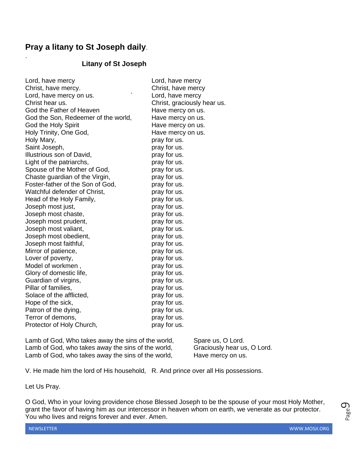### **Pray a litany to St Joseph daily**.

.

### **Litany of St Joseph**

| Lord, have mercy                    | Lord, have mercy            |
|-------------------------------------|-----------------------------|
| Christ, have mercy.                 | Christ, have mercy          |
| Lord, have mercy on us.             | Lord, have mercy            |
| Christ hear us.                     | Christ, graciously hear us. |
| God the Father of Heaven            | Have mercy on us.           |
| God the Son, Redeemer of the world, | Have mercy on us.           |
| God the Holy Spirit                 | Have mercy on us.           |
| Holy Trinity, One God,              | Have mercy on us.           |
| Holy Mary,                          | pray for us.                |
| Saint Joseph,                       | pray for us.                |
| Illustrious son of David,           | pray for us.                |
| Light of the patriarchs,            | pray for us.                |
| Spouse of the Mother of God,        | pray for us.                |
| Chaste guardian of the Virgin,      | pray for us.                |
| Foster-father of the Son of God,    | pray for us.                |
| Watchful defender of Christ,        | pray for us.                |
| Head of the Holy Family,            | pray for us.                |
| Joseph most just,                   | pray for us.                |
| Joseph most chaste,                 | pray for us.                |
| Joseph most prudent,                | pray for us.                |
| Joseph most valiant,                | pray for us.                |
| Joseph most obedient,               | pray for us.                |
| Joseph most faithful,               | pray for us.                |
| Mirror of patience,                 | pray for us.                |
| Lover of poverty,                   | pray for us.                |
| Model of workmen,                   | pray for us.                |
| Glory of domestic life,             | pray for us.                |
| Guardian of virgins,                | pray for us.                |
| Pillar of families,                 | pray for us.                |
| Solace of the afflicted,            | pray for us.                |
| Hope of the sick,                   | pray for us.                |
| Patron of the dying,                | pray for us.                |
| Terror of demons,                   | pray for us.                |
| Protector of Holy Church,           | pray for us.                |
|                                     |                             |

Lamb of God, Who takes away the sins of the world, Spare us, O Lord. Lamb of God, who takes away the sins of the world, Graciously hear us, O Lord. Lamb of God, who takes away the sins of the world, Have mercy on us.

V. He made him the lord of His household, R. And prince over all His possessions.

Let Us Pray.

O God, Who in your loving providence chose Blessed Joseph to be the spouse of your most Holy Mother, grant the favor of having him as our intercessor in heaven whom on earth, we venerate as our protector. You who lives and reigns forever and ever. Amen.

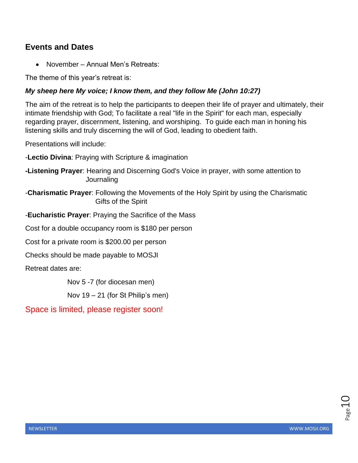### **Events and Dates**

• November – Annual Men's Retreats:

The theme of this year's retreat is:

### *My sheep here My voice; I know them, and they follow Me (John 10:27)*

The aim of the retreat is to help the participants to deepen their life of prayer and ultimately, their intimate friendship with God; To facilitate a real "life in the Spirit" for each man, especially regarding prayer, discernment, listening, and worshiping. To guide each man in honing his listening skills and truly discerning the will of God, leading to obedient faith.

Presentations will include:

-**Lectio Divina**: Praying with Scripture & imagination

- **-Listening Prayer**: Hearing and Discerning God's Voice in prayer, with some attention to **Journaling**
- -**Charismatic Prayer**: Following the Movements of the Holy Spirit by using the Charismatic Gifts of the Spirit

-**Eucharistic Prayer**: Praying the Sacrifice of the Mass

Cost for a double occupancy room is \$180 per person

Cost for a private room is \$200.00 per person

Checks should be made payable to MOSJI

Retreat dates are:

Nov 5 -7 (for diocesan men)

Nov  $19 - 21$  (for St Philip's men)

Space is limited, please register soon!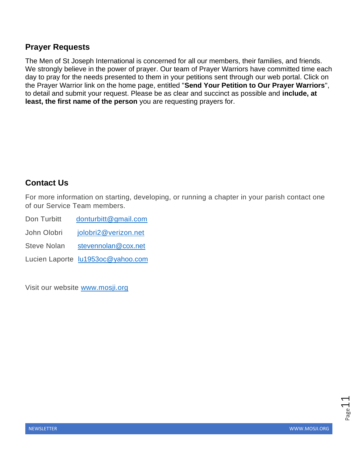### **Prayer Requests**

The Men of St Joseph International is concerned for all our members, their families, and friends. We strongly believe in the power of prayer. Our team of Prayer Warriors have committed time each day to pray for the needs presented to them in your petitions sent through our web portal. Click on the Prayer Warrior link on the home page, entitled "**Send Your Petition to Our Prayer Warriors**", to detail and submit your request. Please be as clear and succinct as possible and **include, at least, the first name of the person** you are requesting prayers for.

### **Contact Us**

For more information on starting, developing, or running a chapter in your parish contact one of our Service Team members.

Don Turbitt [donturbitt@gmail.com](mailto:donturbitt@gmail.com)

John Olobri [jolobri2@verizon.net](mailto:jolobri2@verizon.net)

Steve Nolan stevennolan@cox.net

Lucien Laporte [lu1953oc@yahoo.com](mailto:lu1953oc@yahoo.com)

Visit our website [www.mosji.org](http://www.mosji.org/)